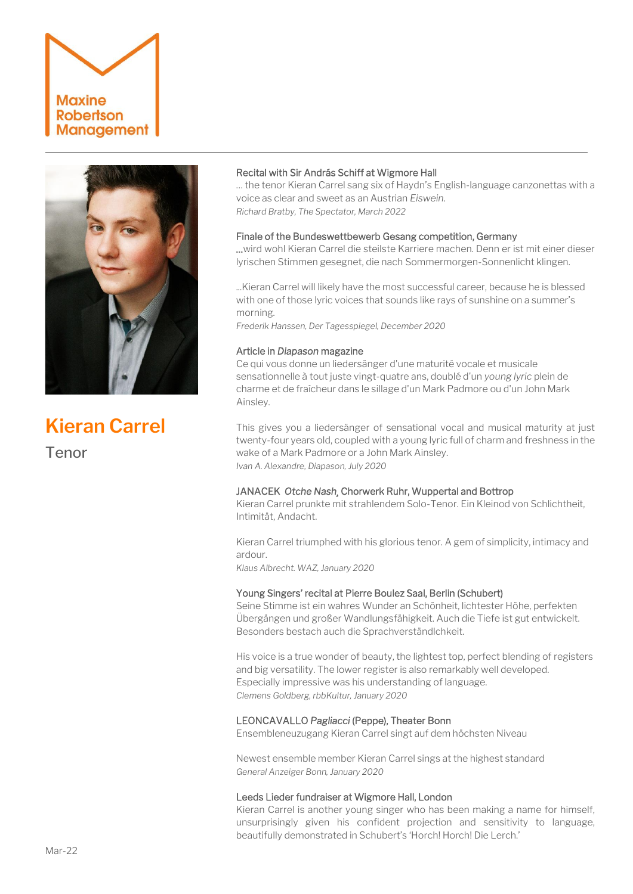# **Maxine Robertson Management**



**Kieran Carrel** Tenor

## Recital with Sir András Schiff at Wigmore Hall

… the tenor Kieran Carrel sang six of Haydn's English-language canzonettas with a voice as clear and sweet as an Austrian *Eiswein*. *Richard Bratby, The Spectator, March 2022*

## Finale of the Bundeswettbewerb Gesang competition, Germany

…wird wohl Kieran Carrel die steilste Karriere machen. Denn er ist mit einer dieser lyrischen Stimmen gesegnet, die nach Sommermorgen-Sonnenlicht klingen.

...Kieran Carrel will likely have the most successful career, because he is blessed with one of those lyric voices that sounds like rays of sunshine on a summer's morning.

*Frederik Hanssen, Der Tagesspiegel, December 2020*

## Article in *Diapason* magazine

Ce qui vous donne un liedersänger d'une maturité vocale et musicale sensationnelle à tout juste vingt-quatre ans, doublé d'un *young lyric* plein de charme et de fraîcheur dans le sillage d'un Mark Padmore ou d'un John Mark Ainsley.

This gives you a liedersänger of sensational vocal and musical maturity at just twenty-four years old, coupled with a young lyric full of charm and freshness in the wake of a Mark Padmore or a John Mark Ainsley. *Ivan A. Alexandre, Diapason, July 2020* 

### JANACEK *Otche Nash¸* Chorwerk Ruhr, Wuppertal and Bottrop

Kieran Carrel prunkte mit strahlendem Solo-Tenor. Ein Kleinod von Schlichtheit, Intimität, Andacht.

Kieran Carrel triumphed with his glorious tenor. A gem of simplicity, intimacy and ardour.

*Klaus Albrecht. WAZ, January 2020*

## Young Singers' recital at Pierre Boulez Saal, Berlin (Schubert)

Seine Stimme ist ein wahres Wunder an Schönheit, lichtester Höhe, perfekten Übergängen und großer Wandlungsfähigkeit. Auch die Tiefe ist gut entwickelt. Besonders bestach auch die Sprachverständlchkeit.

His voice is a true wonder of beauty, the lightest top, perfect blending of registers and big versatility. The lower register is also remarkably well developed. Especially impressive was his understanding of language. *Clemens Goldberg, rbbKultur, January 2020* 

### LEONCAVALLO *Pagliacci* (Peppe), Theater Bonn

Ensembleneuzugang Kieran Carrel singt auf dem höchsten Niveau

Newest ensemble member Kieran Carrel sings at the highest standard *General Anzeiger Bonn, January 2020*

### Leeds Lieder fundraiser at Wigmore Hall, London

Kieran Carrel is another young singer who has been making a name for himself, unsurprisingly given his confident projection and sensitivity to language, beautifully demonstrated in Schubert's 'Horch! Horch! Die Lerch.'